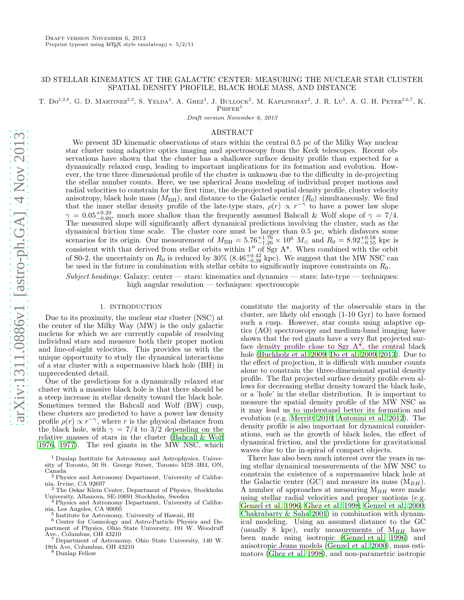# 3D STELLAR KINEMATICS AT THE GALACTIC CENTER: MEASURING THE NUCLEAR STAR CLUSTER SPATIAL DENSITY PROFILE, BLACK HOLE MASS, AND DISTANCE

T.  $Do^{1,2,8}$ , G. D. MARTINEZ<sup>2,3</sup>, S. YELDA<sup>4</sup>, A. GHEZ<sup>4</sup>, J. BULLOCK<sup>2</sup>, M. KAPLINGHAT<sup>2</sup>, J. R. LU<sup>5</sup>, A. G. H. PETER<sup>2,6,7</sup>, K.

 $PHIFER<sup>4</sup>$ 

Draft version November 6, 2013

## ABSTRACT

We present 3D kinematic observations of stars within the central 0.5 pc of the Milky Way nuclear star cluster using adaptive optics imaging and spectroscopy from the Keck telescopes. Recent observations have shown that the cluster has a shallower surface density profile than expected for a dynamically relaxed cusp, leading to important implications for its formation and evolution. However, the true three dimensional profile of the cluster is unknown due to the difficulty in de-projecting the stellar number counts. Here, we use spherical Jeans modeling of individual proper motions and radial velocities to constrain for the first time, the de-projected spatial density profile, cluster velocity anisotropy, black hole mass  $(M_{\rm BH})$ , and distance to the Galactic center  $(R_0)$  simultaneously. We find that the inner stellar density profile of the late-type stars,  $\rho(r) \propto r^{-\gamma}$  to have a power law slope  $\gamma = 0.05_{-0.60}^{+0.29}$ , much more shallow than the frequently assumed Bahcall & Wolf slope of  $\gamma = 7/4$ . The measured slope will significantly affect dynamical predictions involving the cluster, such as the dynamical friction time scale. The cluster core must be larger than 0.5 pc, which disfavors some scenarios for its origin. Our measurement of  $M_{\text{BH}} = 5.76_{-1.26}^{+1.76} \times 10^6$   $M_{\odot}$  and  $R_0 = 8.92_{-0.55}^{+0.58}$  kpc is consistent with that derived from stellar orbits within  $1''$  of Sgr A\*. When combined with the orbit of S0-2, the uncertainty on  $R_0$  is reduced by 30% (8.46<sup>+0.42</sup> kpc). We suggest that the MW NSC can be used in the future in combination with stellar orbits to significantly improve constraints on  $R_0$ .

Subject headings: Galaxy: center — stars: kinematics and dynamics — stars: late-type — techniques: high angular resolution — techniques: spectroscopic

## 1. INTRODUCTION

Due to its proximity, the nuclear star cluster (NSC) at the center of the Milky Way (MW) is the only galactic nucleus for which we are currently capable of resolving individual stars and measure both their proper motion and line-of-sight velocities. This provides us with the unique opportunity to study the dynamical interactions of a star cluster with a supermassive black hole (BH) in unprecedented detail.

One of the predictions for a dynamically relaxed star cluster with a massive black hole is that there should be a steep increase in stellar density toward the black hole. Sometimes termed the Bahcall and Wolf (BW) cusp, these clusters are predicted to have a power law density profile  $\rho(r) \propto r^{-\gamma}$ , where r is the physical distance from the black hole, with  $\gamma = \frac{7}{4}$  to 3/2 depending on the relative masses of stars in the cluster [\(Bahcall & Wolf](#page-6-0) [1976,](#page-6-0) [1977\)](#page-6-1). The red giants in the MW NSC, which

<sup>1</sup> Dunlap Institute for Astronomy and Astrophysics, University of Toronto, 50 St. George Street, Toronto M5S 3H4, ON,

Canada <sup>2</sup> Physics and Astronomy Department, University of Califor-

nia, Irvine, CA 92697 <sup>3</sup> The Oskar Klein Center, Department of Physics, Stockholm University, Albanova, SE-10691 Stockholm, Sweden

<sup>4</sup> Physics and Astronomy Department, University of California, Los Angeles, CA 90095 5

<sup>6</sup> Center for Cosmology and Astro-Particle Physics and Department of Physics, Ohio State University, 191 W. Woodruff Ave., Columbus, OH 43210

Department of Astronomy, Ohio State University, 140 W. 18th Ave, Columbus, OH 43210

<sup>8</sup> Dunlap Fellow

constitute the majority of the observable stars in the cluster, are likely old enough (1-10 Gyr) to have formed such a cusp. However, star counts using adaptive optics (AO) spectroscopy and medium-band imaging have shown that the red giants have a very flat projected surface density profile close to Sgr  $A^*$ , the central black hole [\(Buchholz et al. 2009](#page-6-2); [Do et al. 2009,](#page-6-3) [2013\)](#page-6-4). Due to the effect of projection, it is difficult with number counts alone to constrain the three-dimensional spatial density profile. The flat projected surface density profile even allows for decreasing stellar density toward the black hole, or a 'hole' in the stellar distribution. It is important to measure the spatial density profile of the MW NSC as it may lead us to understand better its formation and evolution (e.g. [Merritt 2010](#page-6-5); [Antonini et al. 2012\)](#page-6-6). The density profile is also important for dynamical considerations, such as the growth of black holes, the effect of dynamical friction, and the predictions for gravitational waves due to the in-spiral of compact objects.

There has also been much interest over the years in using stellar dynamical measurements of the MW NSC to constrain the existence of a supermassive black hole at the Galactic center (GC) and measure its mass  $(M_{BH})$ . A number of approaches at measuring  $M_{BH}$  were made using stellar radial velocities and proper motions (e.g. [Genzel et al. 1996](#page-6-7); [Ghez et al. 1998](#page-6-8); [Genzel et al. 2000](#page-6-9); [Chakrabarty & Saha 2001\)](#page-6-10) in combination with dynamical modeling. Using an assumed distance to the GC (usually 8 kpc), early measurements of  $M_{BH}$  have been made using isotropic [\(Genzel et al. 1996\)](#page-6-7) and anisotropic Jeans models [\(Genzel et al. 2000\)](#page-6-9), mass estimators [\(Ghez et al. 1998\)](#page-6-8), and non-parametric isotropic

Institute for Astronomy, University of Hawaii, HI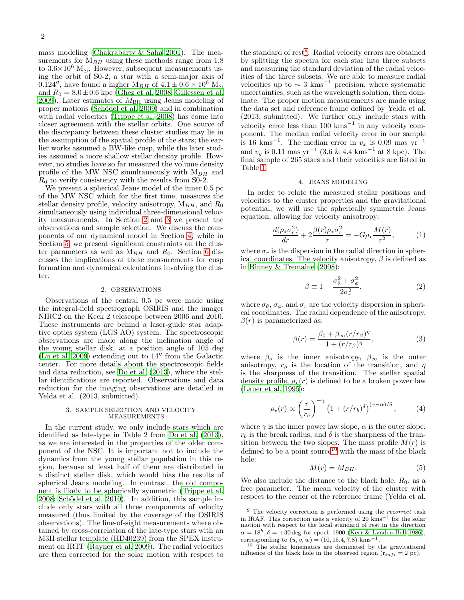mass modeling [\(Chakrabarty & Saha 2001\)](#page-6-10). The measurements for  $M_{BH}$  using these methods range from 1.8 to  $3.6\times10^6$  M<sub>☉</sub>. However, subsequent measurements using the orbit of S0-2, a star with a semi-major axis of 0.124″, have found a higher  $M_{BH}$  of  $4.1 \pm 0.6 \times 10^6$  M<sub>☉</sub> and  $R_0 = 8.0 \pm 0.6$  kpc [\(Ghez et al. 2008;](#page-6-11) [Gillessen et al.](#page-6-12) [2009\)](#page-6-12). Later estimates of  $M_{\rm BH}$  using Jeans modeling of proper motions (Schödel et al. 2009) and in combination with radial velocities [\(Trippe et al. 2008](#page-6-14)) has come into closer agreement with the stellar orbits. One source of the discrepancy between these cluster studies may lie in the assumption of the spatial profile of the stars; the earlier works assumed a BW-like cusp, while the later studies assumed a more shallow stellar density profile. However, no studies have so far measured the volume density profile of the MW NSC simultaneously with  $M_{BH}$  and  $R_0$  to verify consistency with the results from S0-2.

We present a spherical Jeans model of the inner 0.5 pc of the MW NSC which for the first time, measures the stellar density profile, velocity anisotropy,  $M_{BH}$ , and  $R_0$ simultaneously using individual three-dimensional velocity measurements. In Section [2](#page-1-0) and [3](#page-1-1) we present the observations and sample selection. We discuss the components of our dynamical model in Section [4,](#page-1-2) while in Section [5,](#page-2-0) we present significant constraints on the cluster parameters as well as  $M_{BH}$  and  $R_0$ . Section [6](#page-4-0) discusses the implications of these measurements for cusp formation and dynamical calculations involving the cluster.

### 2. OBSERVATIONS

<span id="page-1-0"></span>Observations of the central 0.5 pc were made using the integral-field spectrograph OSIRIS and the imager NIRC2 on the Keck 2 telescope between 2006 and 2010. These instruments are behind a laser-guide star adaptive optics system (LGS AO) system. The spectroscopic observations are made along the inclination angle of the young stellar disk, at a position angle of 105 deg [\(Lu et al. 2009\)](#page-6-15) extending out to 14′′ from the Galactic center. For more details about the spectroscopic fields and data reduction, see [Do et al. \(2013\)](#page-6-4), where the stellar identifications are reported. Observations and data reduction for the imaging observations are detailed in Yelda et al.  $(2013,$  submitted).

#### 3. SAMPLE SELECTION AND VELOCITY MEASUREMENTS

<span id="page-1-1"></span>In the current study, we only include stars which are identified as late-type in Table 2 from [Do et al. \(2013\)](#page-6-4), as we are interested in the properties of the older component of the NSC. It is important not to include the dynamics from the young stellar population in this region, because at least half of them are distributed in a distinct stellar disk, which would bias the results of spherical Jeans modeling. In contrast, the old component is likely to be spherically symmetric [\(Trippe et al.](#page-6-14)  $2008$ ; Schödel et al.  $2010$ ). In addition, this sample include only stars with all three components of velocity measured (thus limited by the coverage of the OSIRIS observations). The line-of-sight measurements where obtained by cross-correlation of the late-type stars with an M3II stellar template (HD40239) from the SPEX instrument on IRTF [\(Rayner et al. 2009\)](#page-6-17). The radial velocities are then corrected for the solar motion with respect to

the standard of rest<sup>[9](#page-1-3)</sup>. Radial velocity errors are obtained by splitting the spectra for each star into three subsets and measuring the standard deviation of the radial velocities of the three subsets. We are able to measure radial velocities up to  $\sim 3 \text{ km s}^{-1}$  precision, where systematic uncertainties, such as the wavelength solution, then dominate. The proper motion measurements are made using the data set and reference frame defined by Yelda et al. (2013, submitted). We further only include stars with velocity error less than  $100 \text{ km s}^{-1}$  in any velocity component. The median radial velocity error in our sample is 16 kms<sup>-1</sup>. The median error in  $v_x$  is 0.09 mas yr<sup>-1</sup> and  $v_y$  is 0.11 mas yr<sup>-1</sup> (3.6 & 4.4 kms<sup>-1</sup> at 8 kpc). The final sample of 265 stars and their velocities are listed in Table [1.](#page-2-1)

## 4. JEANS MODELING

<span id="page-1-2"></span>In order to relate the measured stellar positions and velocities to the cluster properties and the gravitational potential, we will use the spherically symmetric Jeans equation, allowing for velocity anisotropy:

$$
\frac{d(\rho_\star \sigma_r^2)}{dr} + 2\frac{\beta(r)\rho_\star \sigma_r^2}{r} = -G\rho_\star \frac{M(r)}{r^2},\tag{1}
$$

where  $\sigma_r$  is the dispersion in the radial direction in spherical coordinates. The velocity anisotropy,  $\beta$  is defined as in [Binney & Tremaine \(2008\)](#page-6-18):

$$
\beta \equiv 1 - \frac{\sigma_{\theta}^2 + \sigma_{\phi}^2}{2\sigma_r^2},\tag{2}
$$

where  $\sigma_{\theta}$ ,  $\sigma_{\phi}$ , and  $\sigma_{r}$  are the velocity dispersion in spherical coordinates. The radial dependence of the anisotropy,  $\beta(r)$  is parameterized as:

$$
\beta(r) = \frac{\beta_0 + \beta_\infty (r/r_\beta)^{\eta}}{1 + (r/r_\beta)^{\eta}},\tag{3}
$$

where  $\beta_o$  is the inner anisotropy,  $\beta_{\infty}$  is the outer anisotropy,  $r_\beta$  is the location of the transition, and  $\eta$ is the sharpness of the transition. The stellar spatial density profile,  $\rho_{\star}(r)$  is defined to be a broken power law [\(Lauer et al. 1995\)](#page-6-19):

$$
\rho_{\star}(r) \propto \left(\frac{r}{r_b}\right)^{-\gamma} \left(1 + (r/r_b)^{\delta}\right)^{(\gamma - \alpha)/\delta},\tag{4}
$$

where  $\gamma$  is the inner power law slope,  $\alpha$  is the outer slope,  $r_b$  is the break radius, and  $\delta$  is the sharpness of the transition between the two slopes. The mass profile  $M(r)$  is defined to be a point source<sup>[10](#page-1-4)</sup> with the mass of the black hole:

$$
M(r) = M_{BH}.\tag{5}
$$

We also include the distance to the black hole,  $R_0$ , as a free parameter. The mean velocity of the cluster with respect to the center of the reference frame (Yelda et al.

<span id="page-1-3"></span> $9$  The velocity correction is performed using the *rvcorrect* task in IRAF. This correction uses a velocity of 20 kms<sup> $-1$ </sup> for the solar motion with respect to the local standard of rest in the direction  $\alpha = 18^h, \delta = +30\deg$  for epoch 1900 [\(Kerr & Lynden-Bell 1986](#page-6-20)), corresponding to  $(u, v, w) = (10, 15.4, 7.8)$  kms<sup>-1</sup>

<span id="page-1-4"></span>rresponding to  $(u, v, w) = (10, 15.4, 7.8)$  kms<sup>-1</sup>.<br><sup>10</sup> The stellar kinematics are dominated by the gravitational influence of the black hole in the observed region  $(r_{infl} = 2 \text{ pc}).$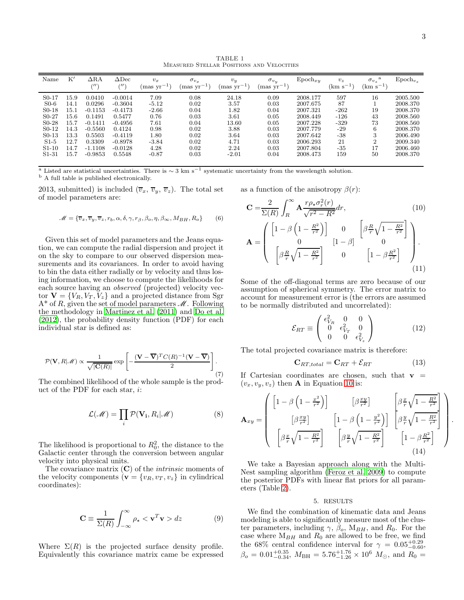TABLE 1 Measured Stellar Positions and Velocities

<span id="page-2-1"></span>

| Name                           | K'       | $\Delta {\rm RA}$<br>$^{\prime\prime\prime}$ | $\Delta$ Dec<br>$^{\prime\prime\prime}$ | $v_x$<br>$\rm (mas~yr^{-1})$ | $\sigma_{v_x}$<br>$\rm{mas}$ yr <sup>-1</sup> , | $v_y$<br>$\text{mas yr}^{-1}$ | $\sigma_{v_u}$<br>$\rm (mas~yr^{-1})$ | $\text{Epoch}_{xy}$ | $v_z$<br>$(\rm km s^{-1})$ | a<br>$\sigma_{v_z}$<br>$(km s^{-1})$ | $\text{Epoch}_{v_{\infty}}$ |
|--------------------------------|----------|----------------------------------------------|-----------------------------------------|------------------------------|-------------------------------------------------|-------------------------------|---------------------------------------|---------------------|----------------------------|--------------------------------------|-----------------------------|
| S <sub>0</sub> -17             | 15.9     | 0.0410                                       | $-0.0014$                               | 7.09                         | 0.08                                            | 24.18                         | 0.09                                  | 2008.177            | 597                        | 16                                   | 2005.500                    |
| $S0-6$                         | 14.1     | 0.0296                                       | $-0.3604$                               | $-5.12$                      | 0.02                                            | 3.57                          | 0.03                                  | 2007.675            | 87                         |                                      | 2008.370                    |
| S <sub>0</sub> -18             | 15.1     | $-0.1153$                                    | $-0.4173$                               | $-2.66$                      | 0.04                                            | 1.82                          | 0.04                                  | 2007.321            | $-262$                     | 19                                   | 2008.370                    |
| S <sub>0</sub> -27             | $15.6\,$ | 0.1491                                       | 0.5477                                  | 0.76                         | 0.03                                            | 3.61                          | 0.05                                  | 2008.449            | $-126$                     | 43                                   | 2008.560                    |
| $S0-28$                        | 15.7     | $-0.1411$                                    | $-0.4956$                               | $7.61\,$                     | 0.04                                            | 13.60                         | 0.05                                  | 2007.228            | $-329$                     | 73                                   | 2008.560                    |
| S <sub>0</sub> -12             | 14.3     | $-0.5560$                                    | 0.4124                                  | 0.98                         | 0.02                                            | 3.88                          | 0.03                                  | 2007.779            | -29                        | 6                                    | 2008.370                    |
| $S0-13$                        | 13.3     | 0.5503                                       | $-0.4119$                               | 1.80                         | 0.02                                            | 3.64                          | 0.03                                  | 2007.642            | $-38$                      | 3                                    | 2006.490                    |
| $S1-5$                         | 12.7     | 0.3309                                       | $-0.8978$                               | $-3.84$                      | 0.02                                            | 4.71                          | 0.03                                  | 2006.293            | 21                         | റ                                    | 2009.340                    |
| $S1-10$                        | 14.7     | $-1.1108$                                    | $-0.0128$                               | 4.28                         | 0.02                                            | 2.24                          | 0.03                                  | 2007.804            | $-35$                      | 17                                   | 2006.460                    |
| S <sub>1</sub> -3 <sub>1</sub> | 15.7     | $-0.9853$                                    | 0.5548                                  | $-0.87$                      | 0.03                                            | $-2.01$                       | 0.04                                  | 2008.473            | 159                        | 50                                   | 2008.370                    |

<sup>a</sup> Listed are statistical uncertainties. There is  $\sim 3 \text{ km s}^{-1}$  systematic uncertainty from the wavelength solution. <sup>b</sup> A full table is published electronically.

2013, submitted) is included  $(\overline{v}_x, \overline{v}_y, \overline{v}_z)$ . The total set of model parameters are:

$$
\mathcal{M} = \{\overline{v}_x, \overline{v}_y, \overline{v}_z, r_b, \alpha, \delta, \gamma, r_\beta, \beta_o, \eta, \beta_\infty, M_{BH}, R_o\} \tag{6}
$$

Given this set of model parameters and the Jeans equation, we can compute the radial dispersion and project it on the sky to compare to our observed dispersion measurements and its covariances. In order to avoid having to bin the data either radially or by velocity and thus losing information, we choose to compute the likelihoods for each source having an *observed* (projected) velocity vector  $\mathbf{V} = \{V_R, V_T, V_z\}$  and a projected distance from Sgr  $A^*$  of R, given the set of model parameters  $\mathcal M$ . Following the methodology in [Martinez et al. \(2011\)](#page-6-21) and [Do et al.](#page-6-22) [\(2012\)](#page-6-22), the probability density function (PDF) for each individual star is defined as:

$$
\mathcal{P}(\mathbf{V}, R|\mathcal{M}) \propto \frac{1}{\sqrt{|\mathbf{C}(R)|}} \exp\left[-\frac{(\mathbf{V} - \overline{\mathbf{V}})^T C(R)^{-1}(\mathbf{V} - \overline{\mathbf{V}})}{2}\right].
$$
\n(7)

The combined likelihood of the whole sample is the product of the PDF for each star, i:

$$
\mathcal{L}(\mathcal{M}) = \prod_{i} \mathcal{P}(\mathbf{V_i}, R_i | \mathcal{M})
$$
 (8)

The likelihood is proportional to  $R_0^2$ , the distance to the Galactic center through the conversion between angular velocity into physical units.

The covariance matrix  $(C)$  of the *intrinsic* moments of the velocity components  $(\mathbf{v} = \{v_R, v_T, v_z\})$  in cylindrical coordinates):

$$
\mathbf{C} \equiv \frac{1}{\Sigma(R)} \int_{-\infty}^{\infty} \rho_{\star} < \mathbf{v}^{T} \mathbf{v} > dz \tag{9}
$$

Where  $\Sigma(R)$  is the projected surface density profile. Equivalently this covariance matrix came be expressed as a function of the anisotropy  $\beta(r)$ :

$$
\mathbf{C} = \frac{2}{\Sigma(R)} \int_{R}^{\infty} \mathbf{A} \frac{r \rho_{\star} \sigma_{r}^{2}(r)}{\sqrt{r^{2} - R^{2}}} dr,
$$
\n
$$
\mathbf{A} = \begin{pmatrix} \left[1 - \beta \left(1 - \frac{R^{2}}{r^{2}}\right)\right] & 0 & \left[\beta \frac{R}{r} \sqrt{1 - \frac{R^{2}}{r^{2}}}\right] \\ 0 & \left[1 - \beta\right] & 0 \\ \left[\beta \frac{R}{r} \sqrt{1 - \frac{R^{2}}{r^{2}}}\right] & 0 & \left[1 - \beta \frac{R^{2}}{r^{2}}\right] \end{pmatrix}.
$$
\n(10)\n(11)

Some of the off-diagonal terms are zero because of our assumption of spherical symmetry. The error matrix to account for measurement error is (the errors are assumed to be normally distributed and uncorrelated):

<span id="page-2-2"></span>
$$
\mathcal{E}_{RT} \equiv \left( \begin{array}{ccc} \epsilon_{V_R}^2 & 0 & 0 \\ 0 & \epsilon_{V_T}^2 & 0 \\ 0 & 0 & \epsilon_{V_z}^2 \end{array} \right) \tag{12}
$$

The total projected covariance matrix is therefore:

$$
\mathbf{C}_{RT,total} = \mathbf{C}_{RT} + \mathcal{E}_{RT} \tag{13}
$$

.

If Cartesian coordinates are chosen, such that  $v =$  $(v_x, v_y, v_z)$  then **A** in Equation [10](#page-2-2) is:

$$
\mathbf{A}_{xy} = \begin{pmatrix} \left[1 - \beta \left(1 - \frac{x^2}{r^2}\right)\right] & \left[\beta \frac{xy}{r^2}\right] & \left[\beta \frac{x}{r}\sqrt{1 - \frac{R^2}{r^2}}\right] \\ \left[\beta \frac{xy}{r^2}\right] & \left[1 - \beta \left(1 - \frac{y^2}{r^2}\right)\right] & \left[\beta \frac{y}{r}\sqrt{1 - \frac{R^2}{r^2}}\right] \\ \left[\beta \frac{x}{r}\sqrt{1 - \frac{R^2}{r^2}}\right] & \left[\beta \frac{y}{r}\sqrt{1 - \frac{R^2}{r^2}}\right] & \left[1 - \beta \frac{R^2}{r^2}\right] \end{pmatrix}
$$
\n(14)

We take a Bayesian approach along with the Multi-Nest sampling algorithm [\(Feroz et al. 2009](#page-6-23)) to compute the posterior PDFs with linear flat priors for all parameters (Table [2\)](#page-3-0).

## 5. RESULTS

<span id="page-2-0"></span>We find the combination of kinematic data and Jeans modeling is able to significantly measure most of the cluster parameters, including  $\gamma$ ,  $\beta_o$ ,  $M_{BH}$ , and  $R_0$ . For the case where  $M_{BH}$  and  $R_0$  are allowed to be free, we find the 68% central confidence interval for  $\gamma = 0.05^{+0.29}_{-0.60}$ ,  $\beta_o = 0.01^{+0.35}_{-0.34}$ ,  $M_{\text{BH}} = 5.76^{+1.76}_{-1.26} \times 10^6$   $M_{\odot}$ , and  $R_0 =$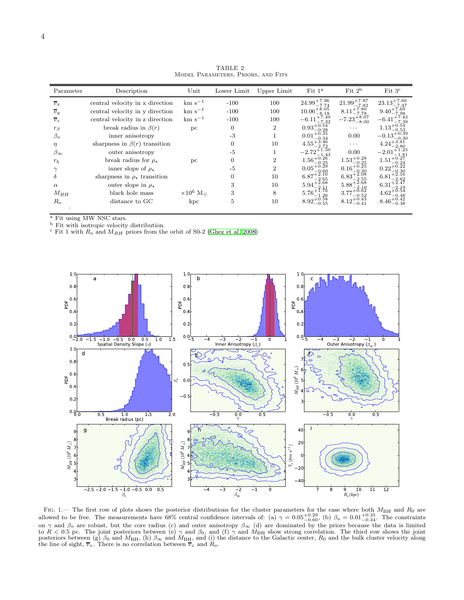<span id="page-3-0"></span>

| Parameter        | Description                            | Unit             | Lower Limit | Upper Limit    | Fit $1^a$                         | Fit $2^{\rm b}$         | Fit 3 <sup>c</sup>                     |
|------------------|----------------------------------------|------------------|-------------|----------------|-----------------------------------|-------------------------|----------------------------------------|
| $v_x$            | central velocity in x direction        | $km s^{-1}$      | $-100$      | 100            | $24.99^{+7.96}_{-2.2}$            | $21.99^{+7.87}_{-7.82}$ | $23.13^{+7.60}_{-7.17}$<br>$-7.47$     |
| $\overline{v}_y$ | central velocity in y direction        | $km s^{-1}$      | $-100$      | 100            | $10.06_{-8}^{+7.74}_{-8.05}$      | $8.11^{+7.80}_{-7.78}$  | $9.40^{+7.69}_{-7.98}$                 |
| $v_z$            | central velocity in z direction        | $km s^{-1}$      | $-100$      | 100            | $-6.11^{+7.49}_{-7.32}$           | $-7.23_{-8.00}^{+8.07}$ | $-6.41^{+7.43}_{-7.39}$                |
| $r_{\beta}$      | break radius in $\beta(r)$             | pc               | $\Omega$    | $\overline{2}$ | $0.93^{+0.54}_{-0.27}$<br>$-0.28$ | $\cdots$                | $1.13^{+0.54}$<br>$-0.53$              |
| $\beta_o$        | inner anisotropy                       |                  | $-3$        |                | $0.01 + 0.38$<br>-0.34            | 0.00                    | $-0.13^{+0.39}_{-0.39}$<br>$-0.30$     |
| $\eta$           | sharpness in $\beta(r)$ transition     |                  | $\Omega$    | 10             | 4.55                              | $\cdots$                | $4.24^{+3.81}_{-2.81}$                 |
| $\beta_{\infty}$ | outer anisotropy                       |                  | $-5$        |                | $-2.72_{-1.43}^{+1.50}$           | 0.00                    | $-2.01_{-1.81}^{+1.25}$                |
| $r_b$            | break radius for $\rho_{\star}$        | pc               | $\Omega$    | $\overline{2}$ | $1.56_{-0.25}^{+0.26}$            | $1.53^{+0.28}_{-0.25}$  | $1.51^{+0.27}_{-0.27}$                 |
|                  | inner slope of $\rho_{\star}$          |                  | $-5$        | $\overline{2}$ | $0.05 + 0.29$<br>$-0.60$          | $0.16_{-0.30}^{+0.25}$  | $0.22^{+\check{0}.\tilde{2}\tilde{2}}$ |
| δ                | sharpness in $\rho_{\star}$ transition |                  | 0           | 10             | $6.87^{+2.10}_{-2.65}$            | $6.83^{+2.08}_{-2.22}$  | $6.81^{+}$                             |
| $\alpha$         | outer slope in $\rho_{\star}$          |                  | 3           | 10             | $5.94^{+5.68}_{-0.08}$            | $5.88^{+5.68}_{-6.68}$  | 6.31                                   |
| $M_{BH}$         | black hole mass                        | $\times 10^6$ Mo | 3           | 8              | $5.76_{-1.26}^{+1.76}$            | $3.77^{+0.62}_{-0.52}$  | $4.62^{+0.54}_{-0.48}$                 |
| $R_o$            | distance to GC                         | kpc              | 5           | 10             | $8.92_{-0.55}^{+0.58}$            | $8.12^{+0.43}_{-0.41}$  | $8.46^{+0.42}_{-0.38}$                 |
|                  |                                        |                  |             |                |                                   |                         |                                        |

TABLE 2 Model Parameters, Priors, and Fits

<sup>a</sup> Fit using MW NSC stars.

<sup>b</sup> Fit with isotropic velocity distribution.

 $\rm c$  Fit 1 with  $R_o$  and  $\rm M_{BH}$  priors from the orbit of S0-2 [\(Ghez et al. 2008](#page-6-11))



<span id="page-3-1"></span>FIG. 1.— The first row of plots shows the posterior distributions for the cluster parameters for the case where both  $M_{\text{BH}}$  and  $R_0$  are allowed to be free. The measurements have 68% central confidence intervals of: ( on  $\gamma$  and  $\beta_o$  are robust, but the core radius (c) and outer anisotropy  $\beta_\infty$  (d) are dominated by the priors because the data is limited to  $R < 0.5$  pc. The joint posteriors between (e)  $\gamma$  and  $\beta_0$ , and (f)  $\gamma$  and  $M_{\text{BH}}$  show strong correlation. The third row shows the joint posteriors between (g)  $\beta_0$  and  $M_{\text{BH}}$ , (h)  $\beta_{\infty}$  and  $M_{\text{BH}}$ , and (i) the distance to the Galactic center,  $R_0$  and the bulk cluster velocity along the line of sight,  $\overline{v}_z$ . There is no correlation between  $\overline{v}_z$  and  $R_o$ .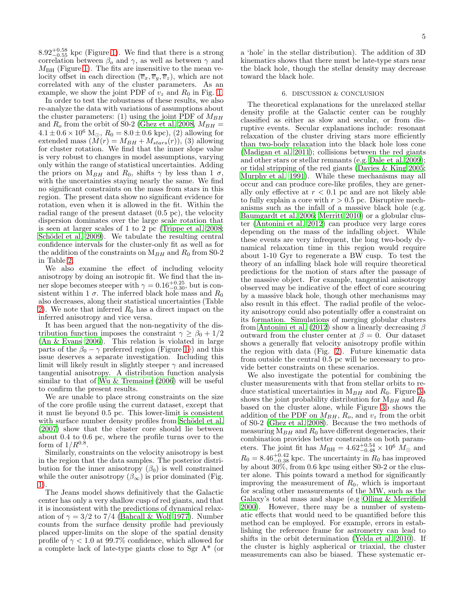$8.92^{+0.58}_{-0.55}$  kpc (Figure [1\)](#page-3-1). We find that there is a strong correlation between  $\beta_o$  and  $\gamma$ , as well as between  $\gamma$  and  $M_{\rm BH}$  (Figure [1\)](#page-3-1). The fits are insensitive to the mean velocity offset in each direction  $(\overline{v}_x, \overline{v}_y, \overline{v}_z)$ , which are not correlated with any of the cluster parameters. As an example, we show the joint PDF of  $v_z$  and  $R_0$  in Fig. [1.](#page-3-1)

In order to test the robustness of these results, we also re-analyze the data with variations of assumptions about the cluster parameters: (1) using the joint PDF of  $M_{BH}$ and  $R_o$  from the orbit of S0-2 [\(Ghez et al. 2008](#page-6-11),  $M_{BH}$  =  $4.1 \pm 0.6 \times 10^6$  M<sub>o</sub>,  $R_0 = 8.0 \pm 0.6$  kpc), (2) allowing for extended mass  $(M(r) = M_{BH} + M_{stars}(r))$ , (3) allowing for cluster rotation. We find that the inner slope value is very robust to changes in model assumptions, varying only within the range of statistical uncertainties. Adding the priors on M<sub>BH</sub> and R<sub>0</sub>, shifts  $\gamma$  by less than 1  $\sigma$ , with the uncertainties staying nearly the same. We find no significant constraints on the mass from stars in this region. The present data show no significant evidence for rotation, even when it is allowed in the fit. Within the radial range of the present dataset (0.5 pc), the velocity dispersion dominates over the large scale rotation that is seen at larger scales of 1 to 2 pc [\(Trippe et al. 2008;](#page-6-14) Schödel et al. 2009). We tabulate the resulting central confidence intervals for the cluster-only fit as well as for the addition of the constraints on  $M_{BH}$  and  $R_0$  from S0-2 in Table [2.](#page-3-0)

We also examine the effect of including velocity anisotropy by doing an isotropic fit. We find that the inner slope becomes steeper with  $\gamma = 0.16_{-0.30}^{+0.25}$ , but is consistent within 1  $\sigma$ . The inferred black hole mass and  $R_0$ also decreases, along their statistical uncertainties (Table [2\)](#page-3-0). We note that inferred  $R_0$  has a direct impact on the inferred anisotropy and vice versa.

It has been argued that the non-negativity of the distribution function imposes the constraint  $\gamma \geq \beta_0 + 1/2$ [\(An & Evans 2006\)](#page-6-24). This relation is violated in large parts of the  $\beta_0 - \gamma$  preferred region (Figure [1e](#page-3-1)) and this issue deserves a separate investigation. Including this limit will likely result in slightly steeper  $\gamma$  and increased tangential anisotropy. A distribution function analysis similar to that of [Wu & Tremaine \(2006\)](#page-6-25) will be useful to confirm the present results.

We are unable to place strong constraints on the size of the core profile using the current dataset, except that it must lie beyond 0.5 pc. This lower-limit is consistent with surface number density profiles from Schödel et al. [\(2007\)](#page-6-26) show that the cluster core should lie between about 0.4 to 0.6 pc, where the profile turns over to the form of  $1/R^{0.8}$ .

Similarly, constraints on the velocity anisotropy is best in the region that the data samples. The posterior distribution for the inner anisotropy  $(\beta_0)$  is well constrained while the outer anisotropy  $(\beta_{\infty})$  is prior dominated (Fig. [1\)](#page-3-1).

The Jeans model shows definitively that the Galactic center has only a very shallow cusp of red giants, and that it is inconsistent with the predictions of dynamical relaxation of  $\gamma = 3/2$  to 7/4 [\(Bahcall & Wolf 1977\)](#page-6-1). Number counts from the surface density profile had previously placed upper-limits on the slope of the spatial density profile of  $\gamma < 1.0$  at 99.7% confidence, which allowed for a complete lack of late-type giants close to Sgr A\* (or

a 'hole' in the stellar distribution). The addition of 3D kinematics shows that there must be late-type stars near the black hole, though the stellar density may decrease toward the black hole.

## 6. DISCUSSION & CONCLUSION

<span id="page-4-0"></span>The theoretical explanations for the unrelaxed stellar density profile at the Galactic center can be roughly classified as either as slow and secular, or from disruptive events. Secular explanations include: resonant relaxation of the cluster driving stars more efficiently than two-body relaxation into the black hole loss cone [\(Madigan et al. 2011\)](#page-6-27); collisions between the red giants and other stars or stellar remnants (e.g. [Dale et al. 2009](#page-6-28)); or tidal stripping of the red giants [\(Davies & King 2005](#page-6-29); [Murphy et al. 1991\)](#page-6-30). While these mechanisms may all occur and can produce core-like profiles, they are generally only effective at  $r < 0.1$  pc and are not likely able to fully explain a core with  $r > 0.5$  pc. Disruptive mechanisms such as the infall of a massive black hole (e.g. [Baumgardt et al. 2006;](#page-6-31) [Merritt 2010](#page-6-5)) or a globular cluster [\(Antonini et al. 2012\)](#page-6-6) can produce very large cores depending on the mass of the infalling object. While these events are very infrequent, the long two-body dynamical relaxation time in this region would require about 1-10 Gyr to regenerate a BW cusp. To test the theory of an infalling black hole will require theoretical predictions for the motion of stars after the passage of the massive object. For example, tangential anisotropy observed may be indicative of the effect of core scouring by a massive black hole, though other mechanisms may also result in this effect. The radial profile of the velocity anisotropy could also potentially offer a constraint on its formation. Simulations of merging globular clusters from [Antonini et al. \(2012\)](#page-6-6) show a linearly decreasing  $\beta$ outward from the cluster center at  $\beta = 0$ . Our dataset shows a generally flat velocity anisotropy profile within the region with data (Fig. [2\)](#page-5-0). Future kinematic data from outside the central 0.5 pc will be necessary to provide better constraints on these scenarios.

We also investigate the potential for combining the cluster measurements with that from stellar orbits to reduce statistical uncertainties in  $M_{BH}$  and  $R_0$ . Figure [3a](#page-5-1) shows the joint probability distribution for  $M_{BH}$  and  $R_0$ based on the cluster alone, while Figure [3b](#page-5-1) shows the addition of the PDF on  $M_{BH}$ ,  $R_o$ , and  $v_z$  from the orbit of S0-2 [\(Ghez et al. 2008\)](#page-6-11). Because the two methods of measuring  $M_{BH}$  and  $R_0$  have different degeneracies, their combination provides better constraints on both parameters. The joint fit has  $M_{\text{BH}} = 4.62^{+0.54}_{-0.48} \times 10^6$   $M_{\odot}$  and  $R_0 = 8.46_{-0.38}^{+0.42}$  kpc. The uncertainty in  $R_0$  has improved by about 30%, from 0.6 kpc using either S0-2 or the cluster alone. This points toward a method for significantly improving the measurement of  $R_0$ , which is important for scaling other measurements of the MW, such as the Galaxy's total mass and shape (e.g [Olling & Merrifield](#page-6-32) [2000\)](#page-6-32). However, there may be a number of systematic effects that would need to be quantified before this method can be employed. For example, errors in establishing the reference frame for astrometry can lead to shifts in the orbit determination [\(Yelda et al. 2010\)](#page-6-33). If the cluster is highly aspherical or triaxial, the cluster measurements can also be biased. These systematic er-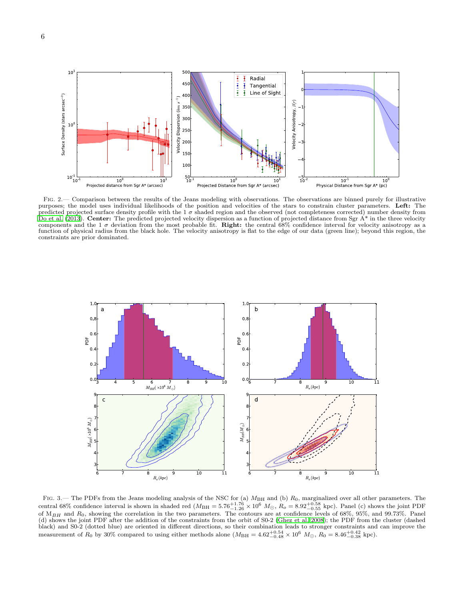

<span id="page-5-0"></span>Fig. 2.— Comparison between the results of the Jeans modeling with observations. The observations are binned purely for illustrative purposes; the model uses individual likelihoods of the position and velocities of the stars to constrain cluster parameters. Left: The predicted projected surface density profile with the  $1\sigma$  shaded region and the observed (not completeness corrected) number density from [Do et al. \(2013\)](#page-6-4). Center: The predicted projected velocity dispersion as a function of projected distance from Sgr  $A^*$  in the three velocity components and the 1  $\sigma$  deviation from the most probable fit. Right: the central 68% confidence interval for velocity anisotropy as a function of physical radius from the black hole. The velocity anisotropy is flat to the edge of our data (green line); beyond this region, the constraints are prior dominated.



<span id="page-5-1"></span>FIG. 3.— The PDFs from the Jeans modeling analysis of the NSC for (a)  $M_{\rm BH}$  and (b)  $R_0$ , marginalized over all other parameters. The central 68% confidence interval is shown in shaded red  $(M_{\rm BH} = 5.76_{-1.26}^{+1.76} \times 10^6$   $M_{\odot}$ ,  $R_o = 8.92_{-0.55}^{+0.58}$  kpc). Panel (c) shows the joint PDF of  $M_{BH}$  and  $R_0$ , showing the correlation in the two parameters. The contours are at confidence levels of 68%, 95%, and 99.73%. Panel (d) shows the joint PDF after the addition of the constraints from the orbit of S0-2 [\(Ghez et al. 2008](#page-6-11)); the PDF from the cluster (dashed black) and S0-2 (dotted blue) are oriented in different directions, so their combination leads to stronger constraints and can improve the measurement of  $R_0$  by 30% compared to using either methods alone  $(M_{\rm BH} = 4.62^{+$